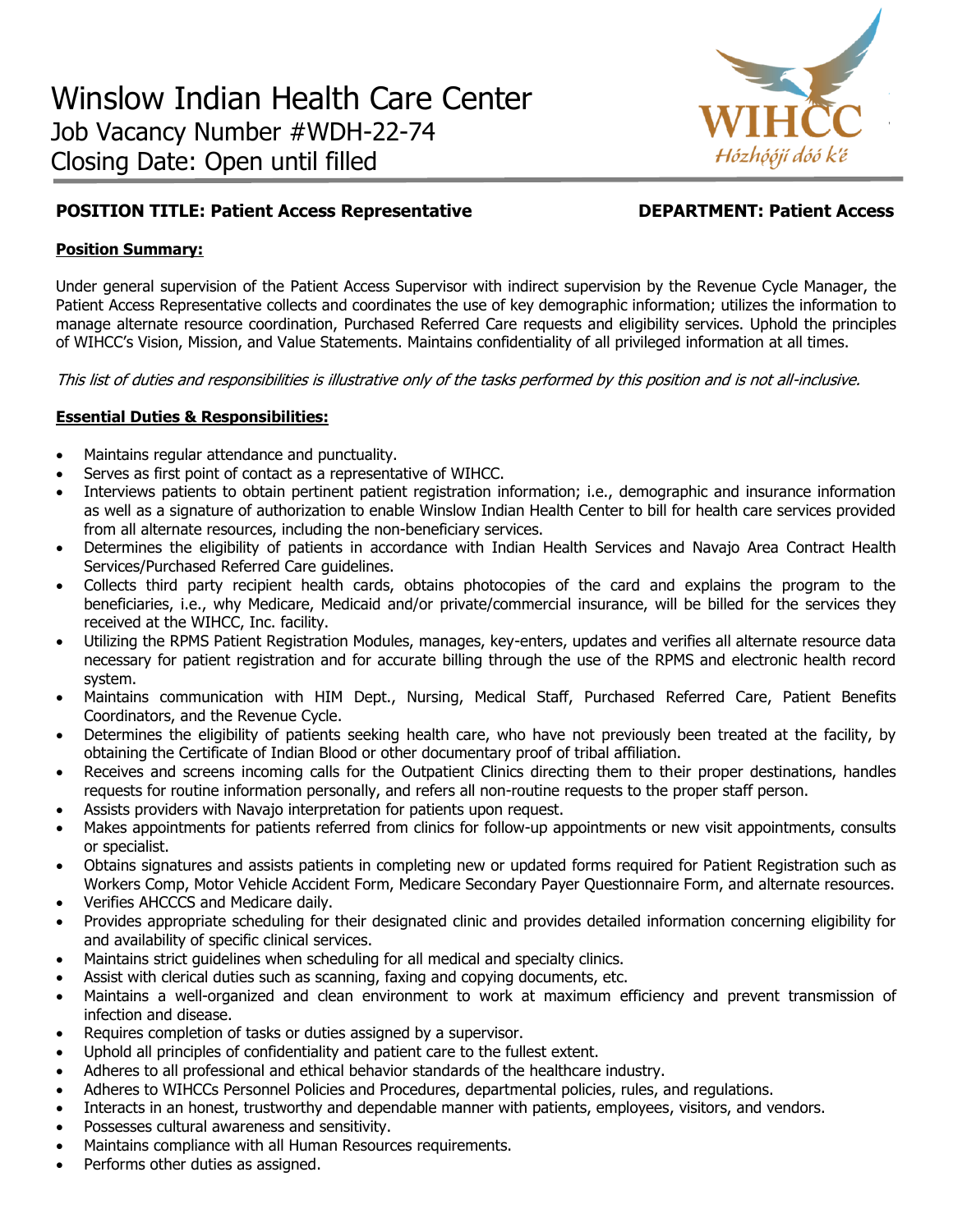

# **POSITION TITLE: Patient Access Representative DEPARTMENT: Patient Access**

### **Position Summary:**

Under general supervision of the Patient Access Supervisor with indirect supervision by the Revenue Cycle Manager, the Patient Access Representative collects and coordinates the use of key demographic information; utilizes the information to manage alternate resource coordination, Purchased Referred Care requests and eligibility services. Uphold the principles of WIHCC's Vision, Mission, and Value Statements. Maintains confidentiality of all privileged information at all times.

This list of duties and responsibilities is illustrative only of the tasks performed by this position and is not all-inclusive.

## **Essential Duties & Responsibilities:**

- Maintains regular attendance and punctuality.
- Serves as first point of contact as a representative of WIHCC.
- Interviews patients to obtain pertinent patient registration information; i.e., demographic and insurance information as well as a signature of authorization to enable Winslow Indian Health Center to bill for health care services provided from all alternate resources, including the non-beneficiary services.
- Determines the eligibility of patients in accordance with Indian Health Services and Navajo Area Contract Health Services/Purchased Referred Care guidelines.
- Collects third party recipient health cards, obtains photocopies of the card and explains the program to the beneficiaries, i.e., why Medicare, Medicaid and/or private/commercial insurance, will be billed for the services they received at the WIHCC, Inc. facility.
- Utilizing the RPMS Patient Registration Modules, manages, key-enters, updates and verifies all alternate resource data necessary for patient registration and for accurate billing through the use of the RPMS and electronic health record system.
- Maintains communication with HIM Dept., Nursing, Medical Staff, Purchased Referred Care, Patient Benefits Coordinators, and the Revenue Cycle.
- Determines the eligibility of patients seeking health care, who have not previously been treated at the facility, by obtaining the Certificate of Indian Blood or other documentary proof of tribal affiliation.
- Receives and screens incoming calls for the Outpatient Clinics directing them to their proper destinations, handles requests for routine information personally, and refers all non-routine requests to the proper staff person.
- Assists providers with Navajo interpretation for patients upon request.
- Makes appointments for patients referred from clinics for follow-up appointments or new visit appointments, consults or specialist.
- Obtains signatures and assists patients in completing new or updated forms required for Patient Registration such as Workers Comp, Motor Vehicle Accident Form, Medicare Secondary Payer Questionnaire Form, and alternate resources.
- Verifies AHCCCS and Medicare daily.
- Provides appropriate scheduling for their designated clinic and provides detailed information concerning eligibility for and availability of specific clinical services.
- Maintains strict guidelines when scheduling for all medical and specialty clinics.
- Assist with clerical duties such as scanning, faxing and copying documents, etc.
- Maintains a well-organized and clean environment to work at maximum efficiency and prevent transmission of infection and disease.
- Requires completion of tasks or duties assigned by a supervisor.
- Uphold all principles of confidentiality and patient care to the fullest extent.
- Adheres to all professional and ethical behavior standards of the healthcare industry.
- Adheres to WIHCCs Personnel Policies and Procedures, departmental policies, rules, and regulations.
- Interacts in an honest, trustworthy and dependable manner with patients, employees, visitors, and vendors.
- Possesses cultural awareness and sensitivity.
- Maintains compliance with all Human Resources requirements.
- Performs other duties as assigned.